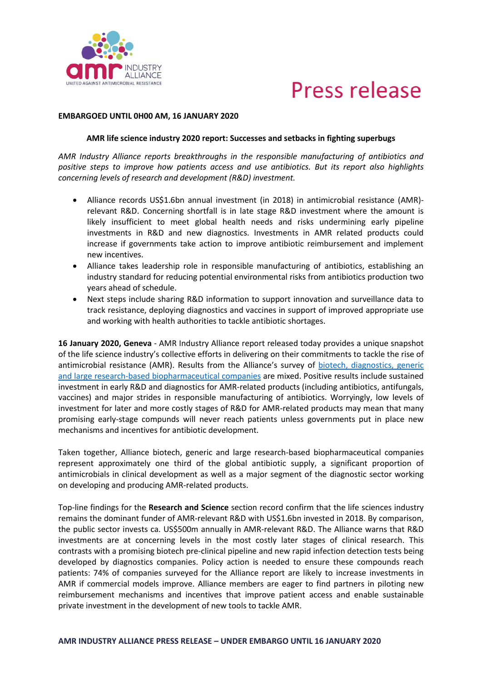

# Press release

### **EMBARGOED UNTIL 0H00 AM, 16 JANUARY 2020**

### **AMR life science industry 2020 report: Successes and setbacks in fighting superbugs**

*AMR Industry Alliance reports breakthroughs in the responsible manufacturing of antibiotics and positive steps to improve how patients access and use antibiotics. But its report also highlights concerning levels of research and development (R&D) investment.*

- Alliance records US\$1.6bn annual investment (in 2018) in antimicrobial resistance (AMR) relevant R&D. Concerning shortfall is in late stage R&D investment where the amount is likely insufficient to meet global health needs and risks undermining early pipeline investments in R&D and new diagnostics. Investments in AMR related products could increase if governments take action to improve antibiotic reimbursement and implement new incentives.
- Alliance takes leadership role in responsible manufacturing of antibiotics, establishing an industry standard for reducing potential environmental risks from antibiotics production two years ahead of schedule.
- Next steps include sharing R&D information to support innovation and surveillance data to track resistance, deploying diagnostics and vaccines in support of improved appropriate use and working with health authorities to tackle antibiotic shortages.

**16 January 2020, Geneva** - AMR Industry Alliance report released today provides a unique snapshot of the life science industry's collective efforts in delivering on their commitments to tackle the rise of antimicrobial resistance (AMR). Results from the Alliance's survey of [biotech, diagnostics, generic](https://www.amrindustryalliance.org/our-members/)  [and large research-based biopharmaceutical companies](https://www.amrindustryalliance.org/our-members/) are mixed. Positive results include sustained investment in early R&D and diagnostics for AMR-related products (including antibiotics, antifungals, vaccines) and major strides in responsible manufacturing of antibiotics. Worryingly, low levels of investment for later and more costly stages of R&D for AMR-related products may mean that many promising early-stage compunds will never reach patients unless governments put in place new mechanisms and incentives for antibiotic development.

Taken together, Alliance biotech, generic and large research-based biopharmaceutical companies represent approximately one third of the global antibiotic supply, a significant proportion of antimicrobials in clinical development as well as a major segment of the diagnostic sector working on developing and producing AMR-related products.

Top-line findings for the **Research and Science** section record confirm that the life sciences industry remains the dominant funder of AMR-relevant R&D with US\$1.6bn invested in 2018. By comparison, the public sector invests ca. US\$500m annually in AMR-relevant R&D. The Alliance warns that R&D investments are at concerning levels in the most costly later stages of clinical research. This contrasts with a promising biotech pre-clinical pipeline and new rapid infection detection tests being developed by diagnostics companies. Policy action is needed to ensure these compounds reach patients: 74% of companies surveyed for the Alliance report are likely to increase investments in AMR if commercial models improve. Alliance members are eager to find partners in piloting new reimbursement mechanisms and incentives that improve patient access and enable sustainable private investment in the development of new tools to tackle AMR.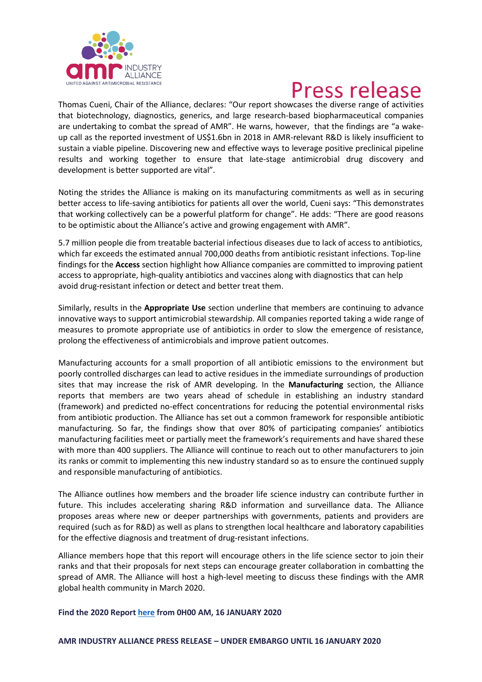

# Press release

Thomas Cueni, Chair of the Alliance, declares: "Our report showcases the diverse range of activities that biotechnology, diagnostics, generics, and large research-based biopharmaceutical companies are undertaking to combat the spread of AMR". He warns, however, that the findings are "a wakeup call as the reported investment of US\$1.6bn in 2018 in AMR-relevant R&D is likely insufficient to sustain a viable pipeline. Discovering new and effective ways to leverage positive preclinical pipeline results and working together to ensure that late-stage antimicrobial drug discovery and development is better supported are vital".

Noting the strides the Alliance is making on its manufacturing commitments as well as in securing better access to life-saving antibiotics for patients all over the world, Cueni says: "This demonstrates that working collectively can be a powerful platform for change". He adds: "There are good reasons to be optimistic about the Alliance's active and growing engagement with AMR".

5.7 million people die from treatable bacterial infectious diseases due to lack of access to antibiotics, which far exceeds the estimated annual 700,000 deaths from antibiotic resistant infections. Top-line findings for the **Access** section highlight how Alliance companies are committed to improving patient access to appropriate, high-quality antibiotics and vaccines along with diagnostics that can help avoid drug-resistant infection or detect and better treat them.

Similarly, results in the **Appropriate Use** section underline that members are continuing to advance innovative ways to support antimicrobial stewardship. All companies reported taking a wide range of measures to promote appropriate use of antibiotics in order to slow the emergence of resistance, prolong the effectiveness of antimicrobials and improve patient outcomes.

Manufacturing accounts for a small proportion of all antibiotic emissions to the environment but poorly controlled discharges can lead to active residues in the immediate surroundings of production sites that may increase the risk of AMR developing. In the **Manufacturing** section, the Alliance reports that members are two years ahead of schedule in establishing an industry standard (framework) and predicted no-effect concentrations for reducing the potential environmental risks from antibiotic production. The Alliance has set out a common framework for responsible antibiotic manufacturing. So far, the findings show that over 80% of participating companies' antibiotics manufacturing facilities meet or partially meet the framework's requirements and have shared these with more than 400 suppliers. The Alliance will continue to reach out to other manufacturers to join its ranks or commit to implementing this new industry standard so as to ensure the continued supply and responsible manufacturing of antibiotics.

The Alliance outlines how members and the broader life science industry can contribute further in future. This includes accelerating sharing R&D information and surveillance data. The Alliance proposes areas where new or deeper partnerships with governments, patients and providers are required (such as for R&D) as well as plans to strengthen local healthcare and laboratory capabilities for the effective diagnosis and treatment of drug-resistant infections.

Alliance members hope that this report will encourage others in the life science sector to join their ranks and that their proposals for next steps can encourage greater collaboration in combatting the spread of AMR. The Alliance will host a high-level meeting to discuss these findings with the AMR global health community in March 2020.

**Find the 2020 Report [here](https://www.amrindustryalliance.org/progress-report/) from 0H00 AM, 16 JANUARY 2020**